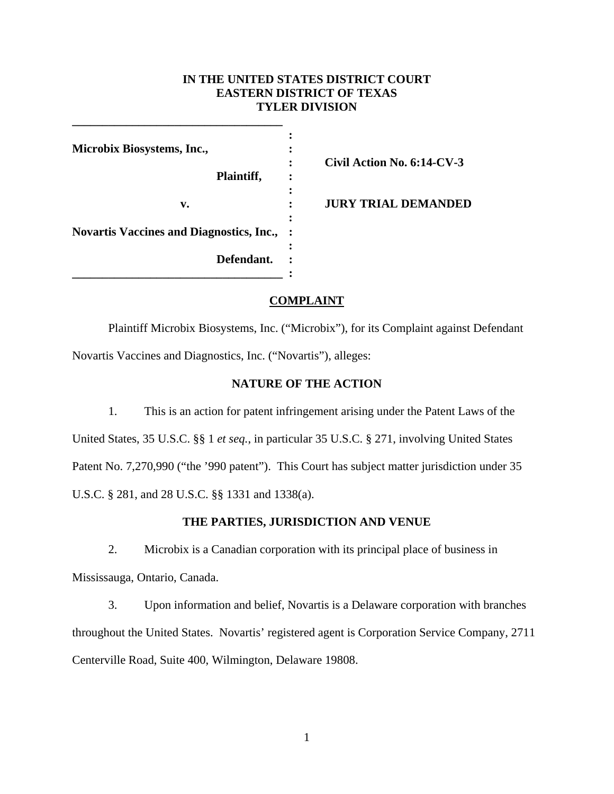## **IN THE UNITED STATES DISTRICT COURT EASTERN DISTRICT OF TEXAS TYLER DIVISION**

| Civil Action No. 6:14-CV-3 |
|----------------------------|
| <b>JURY TRIAL DEMANDED</b> |
|                            |
|                            |
|                            |

**\_\_\_\_\_\_\_\_\_\_\_\_\_\_\_\_\_\_\_\_\_\_\_\_\_\_\_\_\_\_\_\_\_\_\_** 

# **COMPLAINT**

 Plaintiff Microbix Biosystems, Inc. ("Microbix"), for its Complaint against Defendant Novartis Vaccines and Diagnostics, Inc. ("Novartis"), alleges:

### **NATURE OF THE ACTION**

1. This is an action for patent infringement arising under the Patent Laws of the United States, 35 U.S.C. §§ 1 *et seq.*, in particular 35 U.S.C. § 271, involving United States Patent No. 7,270,990 ("the '990 patent"). This Court has subject matter jurisdiction under 35 U.S.C. § 281, and 28 U.S.C. §§ 1331 and 1338(a).

## **THE PARTIES, JURISDICTION AND VENUE**

2. Microbix is a Canadian corporation with its principal place of business in Mississauga, Ontario, Canada.

3. Upon information and belief, Novartis is a Delaware corporation with branches throughout the United States. Novartis' registered agent is Corporation Service Company, 2711 Centerville Road, Suite 400, Wilmington, Delaware 19808.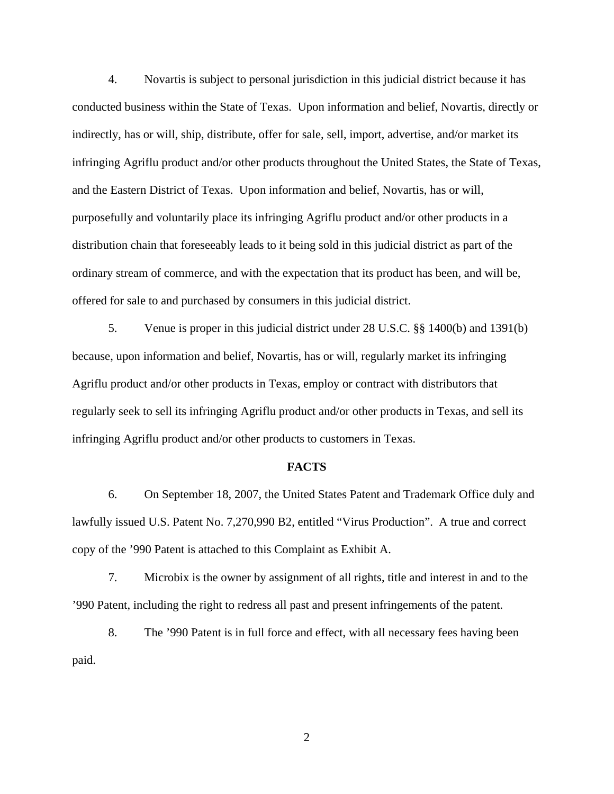4. Novartis is subject to personal jurisdiction in this judicial district because it has conducted business within the State of Texas. Upon information and belief, Novartis, directly or indirectly, has or will, ship, distribute, offer for sale, sell, import, advertise, and/or market its infringing Agriflu product and/or other products throughout the United States, the State of Texas, and the Eastern District of Texas. Upon information and belief, Novartis, has or will, purposefully and voluntarily place its infringing Agriflu product and/or other products in a distribution chain that foreseeably leads to it being sold in this judicial district as part of the ordinary stream of commerce, and with the expectation that its product has been, and will be, offered for sale to and purchased by consumers in this judicial district.

5. Venue is proper in this judicial district under 28 U.S.C. §§ 1400(b) and 1391(b) because, upon information and belief, Novartis, has or will, regularly market its infringing Agriflu product and/or other products in Texas, employ or contract with distributors that regularly seek to sell its infringing Agriflu product and/or other products in Texas, and sell its infringing Agriflu product and/or other products to customers in Texas.

#### **FACTS**

6. On September 18, 2007, the United States Patent and Trademark Office duly and lawfully issued U.S. Patent No. 7,270,990 B2, entitled "Virus Production". A true and correct copy of the '990 Patent is attached to this Complaint as Exhibit A.

7. Microbix is the owner by assignment of all rights, title and interest in and to the '990 Patent, including the right to redress all past and present infringements of the patent.

8. The '990 Patent is in full force and effect, with all necessary fees having been paid.

2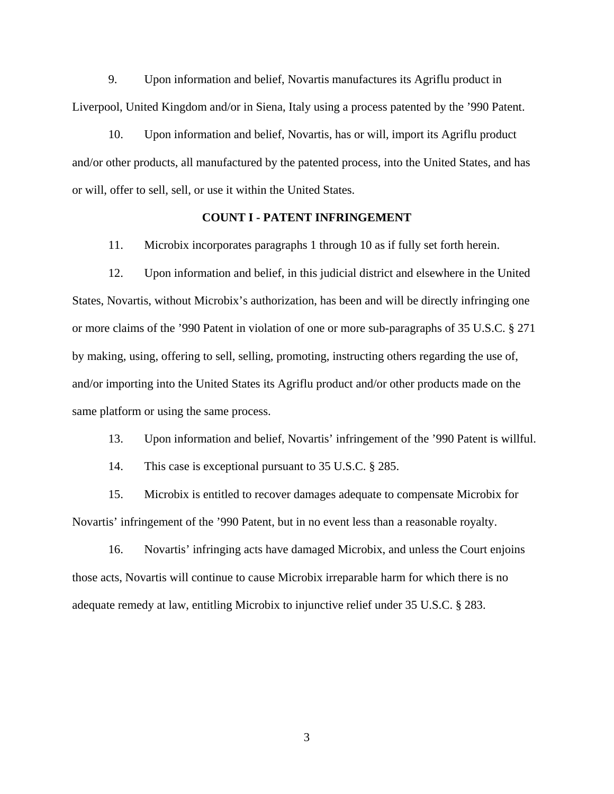9. Upon information and belief, Novartis manufactures its Agriflu product in Liverpool, United Kingdom and/or in Siena, Italy using a process patented by the '990 Patent.

10. Upon information and belief, Novartis, has or will, import its Agriflu product and/or other products, all manufactured by the patented process, into the United States, and has or will, offer to sell, sell, or use it within the United States.

### **COUNT I - PATENT INFRINGEMENT**

11. Microbix incorporates paragraphs 1 through 10 as if fully set forth herein.

12. Upon information and belief, in this judicial district and elsewhere in the United States, Novartis, without Microbix's authorization, has been and will be directly infringing one or more claims of the '990 Patent in violation of one or more sub-paragraphs of 35 U.S.C. § 271 by making, using, offering to sell, selling, promoting, instructing others regarding the use of, and/or importing into the United States its Agriflu product and/or other products made on the same platform or using the same process.

13. Upon information and belief, Novartis' infringement of the '990 Patent is willful.

14. This case is exceptional pursuant to 35 U.S.C. § 285.

15. Microbix is entitled to recover damages adequate to compensate Microbix for Novartis' infringement of the '990 Patent, but in no event less than a reasonable royalty.

16. Novartis' infringing acts have damaged Microbix, and unless the Court enjoins those acts, Novartis will continue to cause Microbix irreparable harm for which there is no adequate remedy at law, entitling Microbix to injunctive relief under 35 U.S.C. § 283.

3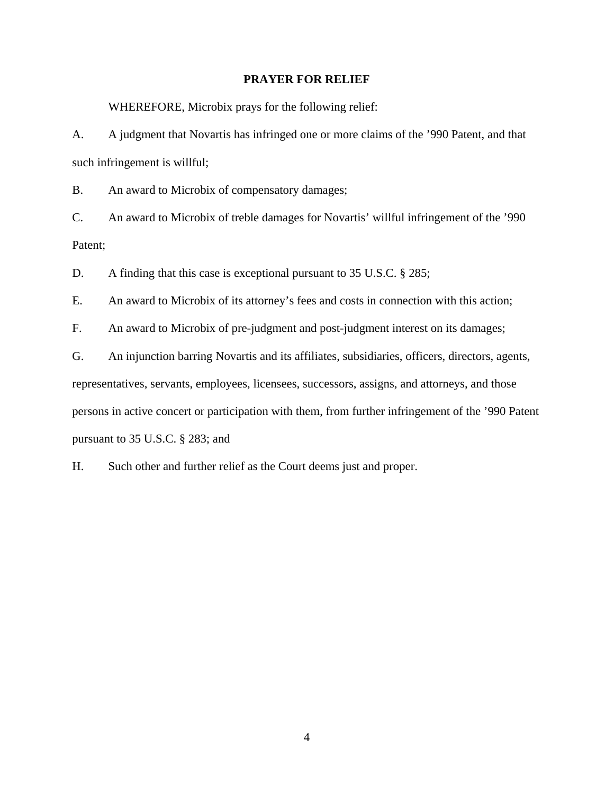### **PRAYER FOR RELIEF**

WHEREFORE, Microbix prays for the following relief:

A. A judgment that Novartis has infringed one or more claims of the '990 Patent, and that such infringement is willful;

B. An award to Microbix of compensatory damages;

C. An award to Microbix of treble damages for Novartis' willful infringement of the '990 Patent;

D. A finding that this case is exceptional pursuant to 35 U.S.C. § 285;

E. An award to Microbix of its attorney's fees and costs in connection with this action;

F. An award to Microbix of pre-judgment and post-judgment interest on its damages;

G. An injunction barring Novartis and its affiliates, subsidiaries, officers, directors, agents, representatives, servants, employees, licensees, successors, assigns, and attorneys, and those persons in active concert or participation with them, from further infringement of the '990 Patent pursuant to 35 U.S.C. § 283; and

H. Such other and further relief as the Court deems just and proper.